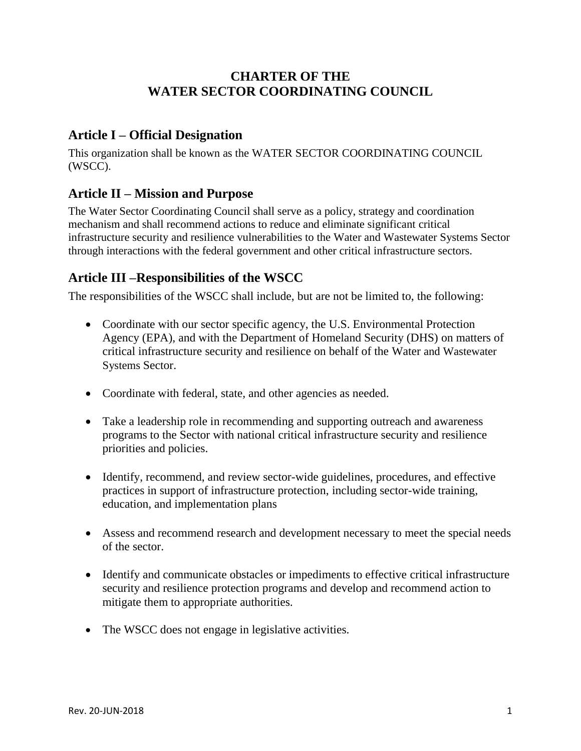# **CHARTER OF THE WATER SECTOR COORDINATING COUNCIL**

# **Article I – Official Designation**

This organization shall be known as the WATER SECTOR COORDINATING COUNCIL (WSCC).

## **Article II – Mission and Purpose**

The Water Sector Coordinating Council shall serve as a policy, strategy and coordination mechanism and shall recommend actions to reduce and eliminate significant critical infrastructure security and resilience vulnerabilities to the Water and Wastewater Systems Sector through interactions with the federal government and other critical infrastructure sectors.

# **Article III –Responsibilities of the WSCC**

The responsibilities of the WSCC shall include, but are not be limited to, the following:

- Coordinate with our sector specific agency, the U.S. Environmental Protection Agency (EPA), and with the Department of Homeland Security (DHS) on matters of critical infrastructure security and resilience on behalf of the Water and Wastewater Systems Sector.
- Coordinate with federal, state, and other agencies as needed.
- Take a leadership role in recommending and supporting outreach and awareness programs to the Sector with national critical infrastructure security and resilience priorities and policies.
- Identify, recommend, and review sector-wide guidelines, procedures, and effective practices in support of infrastructure protection, including sector-wide training, education, and implementation plans
- Assess and recommend research and development necessary to meet the special needs of the sector.
- Identify and communicate obstacles or impediments to effective critical infrastructure security and resilience protection programs and develop and recommend action to mitigate them to appropriate authorities.
- The WSCC does not engage in legislative activities.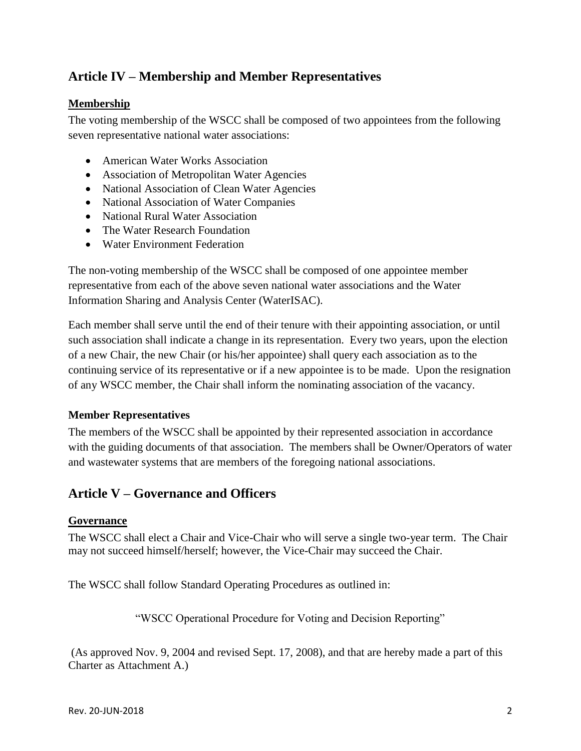# **Article IV – Membership and Member Representatives**

### **Membership**

The voting membership of the WSCC shall be composed of two appointees from the following seven representative national water associations:

- American Water Works Association
- Association of Metropolitan Water Agencies
- National Association of Clean Water Agencies
- National Association of Water Companies
- National Rural Water Association
- The Water Research Foundation
- Water Environment Federation

The non-voting membership of the WSCC shall be composed of one appointee member representative from each of the above seven national water associations and the Water Information Sharing and Analysis Center (WaterISAC).

Each member shall serve until the end of their tenure with their appointing association, or until such association shall indicate a change in its representation. Every two years, upon the election of a new Chair, the new Chair (or his/her appointee) shall query each association as to the continuing service of its representative or if a new appointee is to be made. Upon the resignation of any WSCC member, the Chair shall inform the nominating association of the vacancy.

### **Member Representatives**

The members of the WSCC shall be appointed by their represented association in accordance with the guiding documents of that association. The members shall be Owner/Operators of water and wastewater systems that are members of the foregoing national associations.

## **Article V – Governance and Officers**

### **Governance**

The WSCC shall elect a Chair and Vice-Chair who will serve a single two-year term. The Chair may not succeed himself/herself; however, the Vice-Chair may succeed the Chair.

The WSCC shall follow Standard Operating Procedures as outlined in:

"WSCC Operational Procedure for Voting and Decision Reporting"

(As approved Nov. 9, 2004 and revised Sept. 17, 2008), and that are hereby made a part of this Charter as Attachment A.)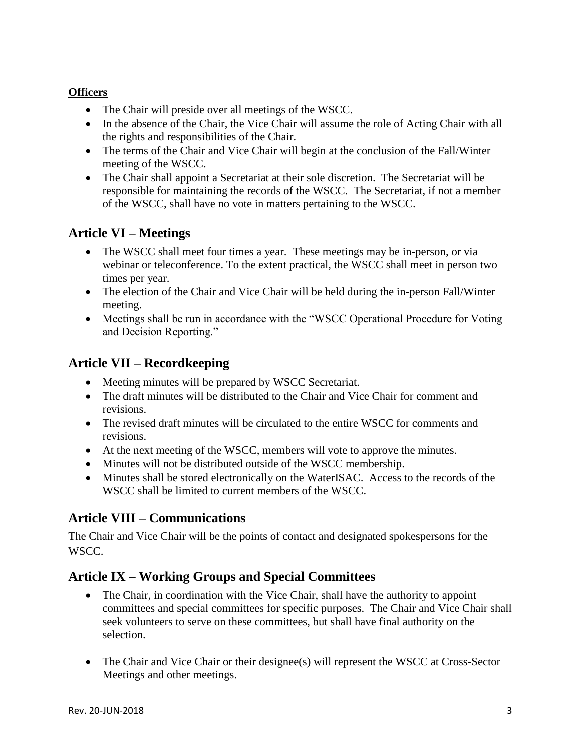### **Officers**

- The Chair will preside over all meetings of the WSCC.
- In the absence of the Chair, the Vice Chair will assume the role of Acting Chair with all the rights and responsibilities of the Chair.
- The terms of the Chair and Vice Chair will begin at the conclusion of the Fall/Winter meeting of the WSCC.
- The Chair shall appoint a Secretariat at their sole discretion. The Secretariat will be responsible for maintaining the records of the WSCC. The Secretariat, if not a member of the WSCC, shall have no vote in matters pertaining to the WSCC.

# **Article VI – Meetings**

- The WSCC shall meet four times a year. These meetings may be in-person, or via webinar or teleconference. To the extent practical, the WSCC shall meet in person two times per year.
- The election of the Chair and Vice Chair will be held during the in-person Fall/Winter meeting.
- Meetings shall be run in accordance with the "WSCC Operational Procedure for Voting and Decision Reporting."

# **Article VII – Recordkeeping**

- Meeting minutes will be prepared by WSCC Secretariat.
- The draft minutes will be distributed to the Chair and Vice Chair for comment and revisions.
- The revised draft minutes will be circulated to the entire WSCC for comments and revisions.
- At the next meeting of the WSCC, members will vote to approve the minutes.
- Minutes will not be distributed outside of the WSCC membership.
- Minutes shall be stored electronically on the WaterISAC. Access to the records of the WSCC shall be limited to current members of the WSCC.

# **Article VIII – Communications**

The Chair and Vice Chair will be the points of contact and designated spokespersons for the WSCC.

# **Article IX – Working Groups and Special Committees**

- The Chair, in coordination with the Vice Chair, shall have the authority to appoint committees and special committees for specific purposes. The Chair and Vice Chair shall seek volunteers to serve on these committees, but shall have final authority on the selection.
- The Chair and Vice Chair or their designee(s) will represent the WSCC at Cross-Sector Meetings and other meetings.